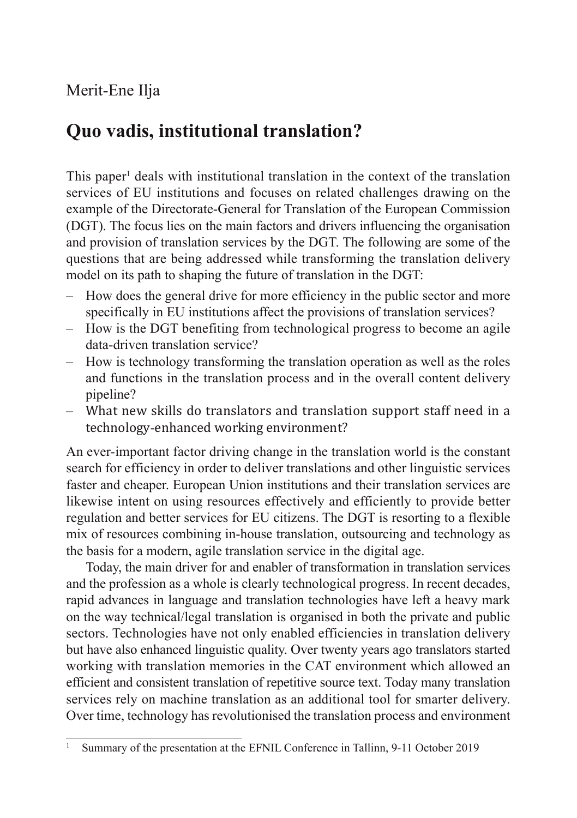## Merit-Ene Ilja

## **Quo vadis, institutional translation?**

This paper<sup>1</sup> deals with institutional translation in the context of the translation services of EU institutions and focuses on related challenges drawing on the example of the Directorate-General for Translation of the European Commission (DGT). The focus lies on the main factors and drivers influencing the organisation and provision of translation services by the DGT. The following are some of the questions that are being addressed while transforming the translation delivery model on its path to shaping the future of translation in the DGT:

- How does the general drive for more efficiency in the public sector and more specifically in EU institutions affect the provisions of translation services?
- How is the DGT benefiting from technological progress to become an agile data-driven translation service?
- How is technology transforming the translation operation as well as the roles and functions in the translation process and in the overall content delivery pipeline?
- What new skills do translators and translation support staff need in a technology-enhanced working environment?

An ever-important factor driving change in the translation world is the constant search for efficiency in order to deliver translations and other linguistic services faster and cheaper. European Union institutions and their translation services are likewise intent on using resources effectively and efficiently to provide better regulation and better services for EU citizens. The DGT is resorting to a flexible mix of resources combining in-house translation, outsourcing and technology as the basis for a modern, agile translation service in the digital age.

Today, the main driver for and enabler of transformation in translation services and the profession as a whole is clearly technological progress. In recent decades, rapid advances in language and translation technologies have left a heavy mark on the way technical/legal translation is organised in both the private and public sectors. Technologies have not only enabled efficiencies in translation delivery but have also enhanced linguistic quality. Over twenty years ago translators started working with translation memories in the CAT environment which allowed an efficient and consistent translation of repetitive source text. Today many translation services rely on machine translation as an additional tool for smarter delivery. Over time, technology has revolutionised the translation process and environment

<sup>1</sup> Summary of the presentation at the EFNIL Conference in Tallinn, 9-11 October 2019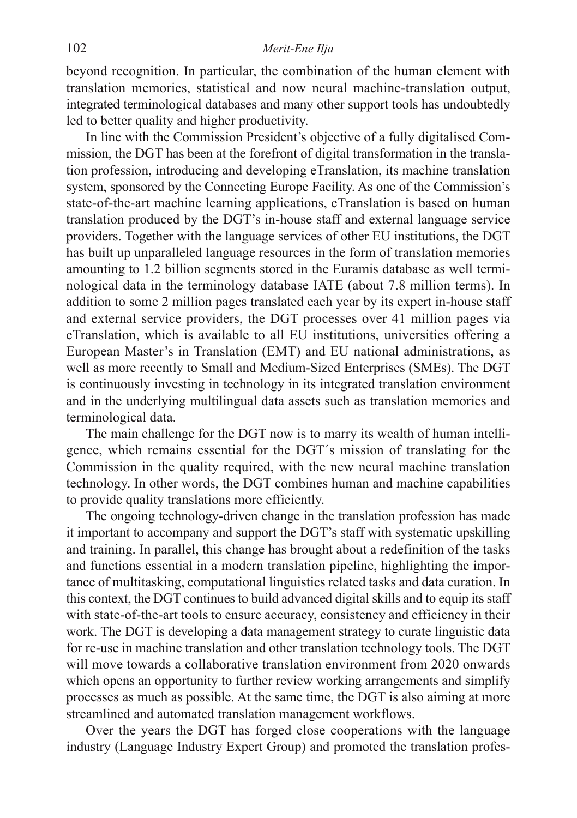beyond recognition. In particular, the combination of the human element with translation memories, statistical and now neural machine-translation output, integrated terminological databases and many other support tools has undoubtedly led to better quality and higher productivity.

In line with the Commission President's objective of a fully digitalised Commission, the DGT has been at the forefront of digital transformation in the translation profession, introducing and developing eTranslation, its machine translation system, sponsored by the Connecting Europe Facility. As one of the Commission's state-of-the-art machine learning applications, eTranslation is based on human translation produced by the DGT's in-house staff and external language service providers. Together with the language services of other EU institutions, the DGT has built up unparalleled language resources in the form of translation memories amounting to 1.2 billion segments stored in the Euramis database as well terminological data in the terminology database IATE (about 7.8 million terms). In addition to some 2 million pages translated each year by its expert in-house staff and external service providers, the DGT processes over 41 million pages via eTranslation, which is available to all EU institutions, universities offering a European Master's in Translation (EMT) and EU national administrations, as well as more recently to Small and Medium-Sized Enterprises (SMEs). The DGT is continuously investing in technology in its integrated translation environment and in the underlying multilingual data assets such as translation memories and terminological data.

The main challenge for the DGT now is to marry its wealth of human intelligence, which remains essential for the DGT´s mission of translating for the Commission in the quality required, with the new neural machine translation technology. In other words, the DGT combines human and machine capabilities to provide quality translations more efficiently.

The ongoing technology-driven change in the translation profession has made it important to accompany and support the DGT's staff with systematic upskilling and training. In parallel, this change has brought about a redefinition of the tasks and functions essential in a modern translation pipeline, highlighting the importance of multitasking, computational linguistics related tasks and data curation. In this context, the DGT continues to build advanced digital skills and to equip its staff with state-of-the-art tools to ensure accuracy, consistency and efficiency in their work. The DGT is developing a data management strategy to curate linguistic data for re-use in machine translation and other translation technology tools. The DGT will move towards a collaborative translation environment from 2020 onwards which opens an opportunity to further review working arrangements and simplify processes as much as possible. At the same time, the DGT is also aiming at more streamlined and automated translation management workflows.

Over the years the DGT has forged close cooperations with the language industry (Language Industry Expert Group) and promoted the translation profes-